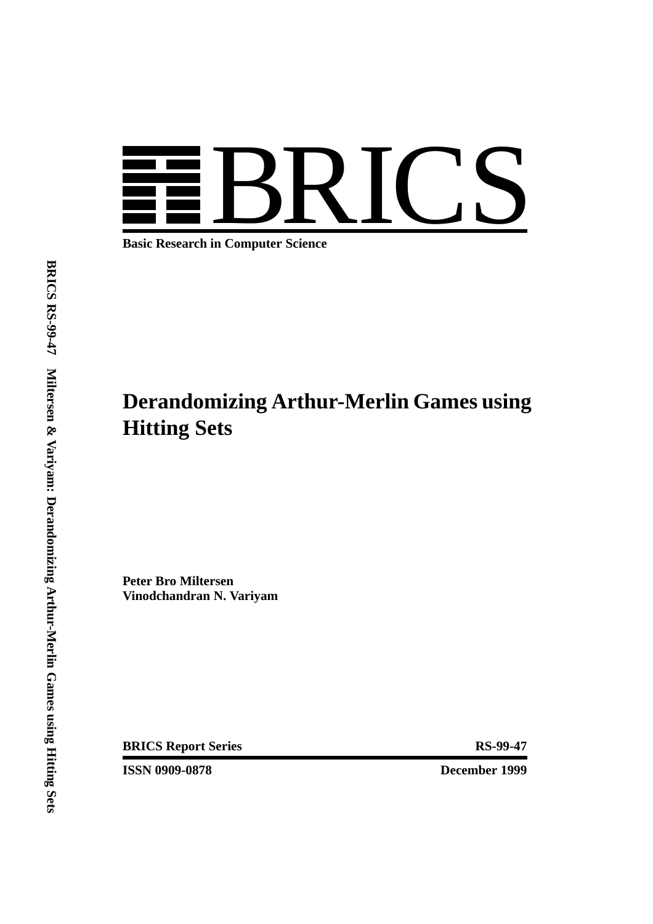

**Basic Research in Computer Science**

# **Derandomizing Arthur-Merlin Games using Hitting Sets**

**Peter Bro Miltersen Vinodchandran N. Variyam**

**BRICS Report Series RS-99-47** 

**ISSN 0909-0878** December 1999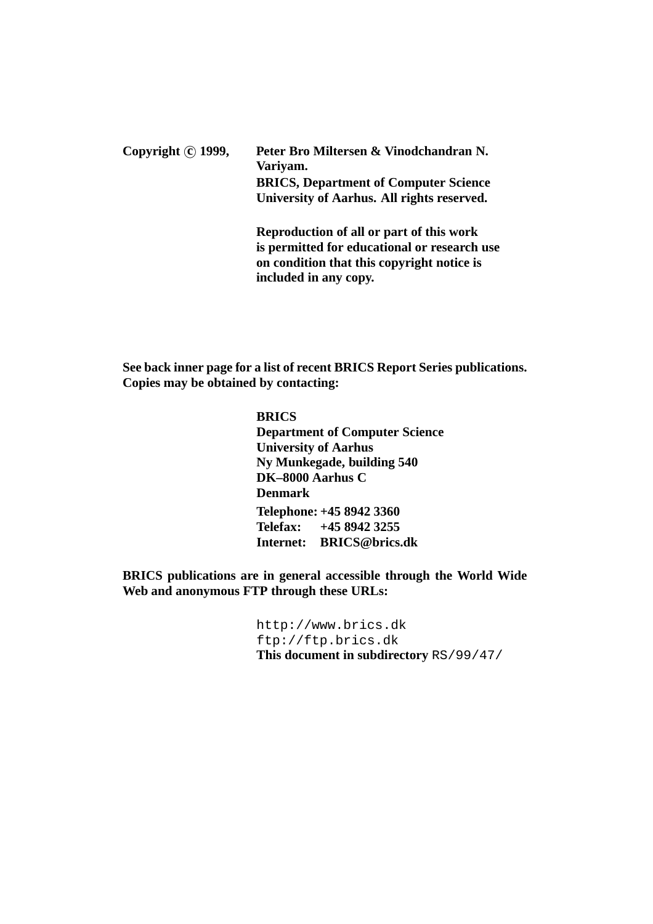Copyright **c**) 1999, Peter Bro Miltersen & Vinodchandran N. **Variyam. BRICS, Department of Computer Science University of Aarhus. All rights reserved. Reproduction of all or part of this work**

**is permitted for educational or research use on condition that this copyright notice is included in any copy.**

**See back inner page for a list of recent BRICS Report Series publications. Copies may be obtained by contacting:**

#### **BRICS**

**Department of Computer Science University of Aarhus Ny Munkegade, building 540 DK–8000 Aarhus C Denmark Telephone: +45 8942 3360 Telefax: +45 8942 3255 Internet: BRICS@brics.dk**

**BRICS publications are in general accessible through the World Wide Web and anonymous FTP through these URLs:**

> http://www.brics.dk ftp://ftp.brics.dk **This document in subdirectory** RS/99/47/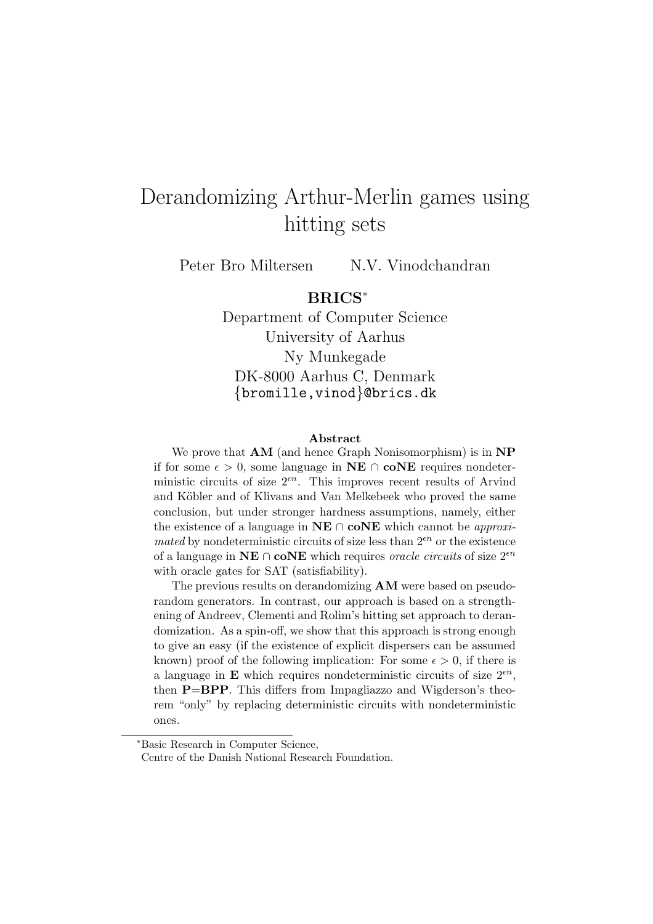## Derandomizing Arthur-Merlin games using hitting sets

Peter Bro Miltersen N.V. Vinodchandran

### **BRICS**<sup>∗</sup>

Department of Computer Science University of Aarhus Ny Munkegade DK-8000 Aarhus C, Denmark {bromille,vinod}@brics.dk

#### **Abstract**

We prove that **AM** (and hence Graph Nonisomorphism) is in **NP** if for some  $\epsilon > 0$ , some language in **NE** ∩ **coNE** requires nondeterministic circuits of size  $2^{\epsilon n}$ . This improves recent results of Arvind and Köbler and of Klivans and Van Melkebeek who proved the same conclusion, but under stronger hardness assumptions, namely, either the existence of a language in  $NE \cap coNE$  which cannot be *approximated* by nondeterministic circuits of size less than  $2^{\epsilon n}$  or the existence of a language in **NE** ∩ **coNE** which requires *oracle circuits* of size  $2^{\epsilon n}$ with oracle gates for SAT (satisfiability).

The previous results on derandomizing **AM** were based on pseudorandom generators. In contrast, our approach is based on a strengthening of Andreev, Clementi and Rolim's hitting set approach to derandomization. As a spin-off, we show that this approach is strong enough to give an easy (if the existence of explicit dispersers can be assumed known) proof of the following implication: For some  $\epsilon > 0$ , if there is a language in **E** which requires nondeterministic circuits of size  $2^{\epsilon n}$ , then **P**=**BPP**. This differs from Impagliazzo and Wigderson's theorem "only" by replacing deterministic circuits with nondeterministic ones.

<sup>∗</sup>Basic Research in Computer Science,

Centre of the Danish National Research Foundation.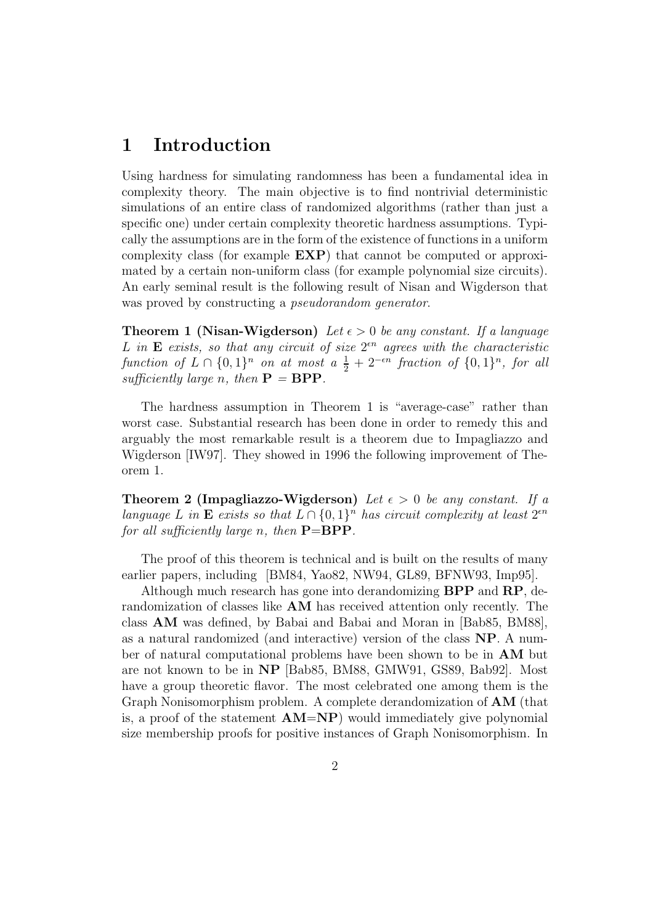### **1 Introduction**

Using hardness for simulating randomness has been a fundamental idea in complexity theory. The main objective is to find nontrivial deterministic simulations of an entire class of randomized algorithms (rather than just a specific one) under certain complexity theoretic hardness assumptions. Typically the assumptions are in the form of the existence of functions in a uniform complexity class (for example **EXP**) that cannot be computed or approximated by a certain non-uniform class (for example polynomial size circuits). An early seminal result is the following result of Nisan and Wigderson that was proved by constructing a *pseudorandom generator*.

**Theorem 1 (Nisan-Wigderson)** Let  $\epsilon > 0$  be any constant. If a language L in **E** exists, so that any circuit of size  $2<sup>en</sup>$  agrees with the characteristic function of  $L \cap \{0,1\}^n$  on at most  $a \frac{1}{2} + 2^{-\epsilon n}$  fraction of  $\{0,1\}^n$ , for all sufficiently large n then  $\mathbf{P} - \mathbf{R} \mathbf{P} \mathbf{P}$ sufficiently large n, then  $P = BPP$ .

The hardness assumption in Theorem 1 is "average-case" rather than worst case. Substantial research has been done in order to remedy this and arguably the most remarkable result is a theorem due to Impagliazzo and Wigderson [IW97]. They showed in 1996 the following improvement of Theorem 1.

**Theorem 2 (Impagliazzo-Wigderson)** Let  $\epsilon > 0$  be any constant. If a language L in **E** exists so that  $L \cap \{0,1\}^n$  has circuit complexity at least  $2^{\epsilon n}$ for all sufficiently large n, then  $P = BPP$ .

The proof of this theorem is technical and is built on the results of many earlier papers, including [BM84, Yao82, NW94, GL89, BFNW93, Imp95].

Although much research has gone into derandomizing **BPP** and **RP**, derandomization of classes like **AM** has received attention only recently. The class **AM** was defined, by Babai and Babai and Moran in [Bab85, BM88], as a natural randomized (and interactive) version of the class **NP**. A number of natural computational problems have been shown to be in **AM** but are not known to be in **NP** [Bab85, BM88, GMW91, GS89, Bab92]. Most have a group theoretic flavor. The most celebrated one among them is the Graph Nonisomorphism problem. A complete derandomization of **AM** (that is, a proof of the statement **AM**=**NP**) would immediately give polynomial size membership proofs for positive instances of Graph Nonisomorphism. In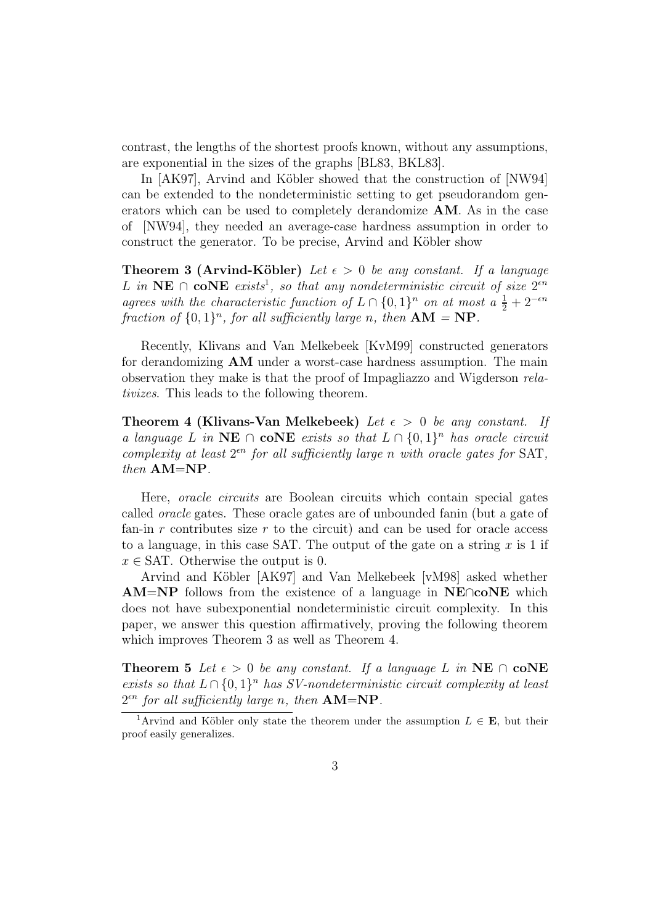contrast, the lengths of the shortest proofs known, without any assumptions, are exponential in the sizes of the graphs [BL83, BKL83].

In [AK97], Arvind and Köbler showed that the construction of [NW94] can be extended to the nondeterministic setting to get pseudorandom generators which can be used to completely derandomize **AM**. As in the case of [NW94], they needed an average-case hardness assumption in order to construct the generator. To be precise, Arvind and Köbler show

**Theorem 3 (Arvind-Köbler)** Let  $\epsilon > 0$  be any constant. If a language L in NE ∩ **coNE** exists<sup>1</sup>, so that any nondeterministic circuit of size  $2^{εn}$ agrees with the characteristic function of  $L \cap \{0,1\}^n$  on at most  $a \frac{1}{2} + 2^{-\epsilon n}$ <br>fraction of  $\{0,1\}^n$  for all sufficiently large n then  $AM - NP$ fraction of  $\{0, 1\}^n$ , for all sufficiently large n, then  $AM = NP$ .

Recently, Klivans and Van Melkebeek [KvM99] constructed generators for derandomizing **AM** under a worst-case hardness assumption. The main observation they make is that the proof of Impagliazzo and Wigderson relativizes. This leads to the following theorem.

**Theorem 4 (Klivans-Van Melkebeek)** Let  $\epsilon > 0$  be any constant. If a language L in **NE** ∩ **coNE** exists so that  $L \cap \{0,1\}^n$  has oracle circuit complexity at least  $2^{\epsilon n}$  for all sufficiently large n with oracle gates for SAT, then **AM**=**NP**.

Here, oracle circuits are Boolean circuits which contain special gates called oracle gates. These oracle gates are of unbounded fanin (but a gate of fan-in r contributes size  $r$  to the circuit) and can be used for oracle access to a language, in this case SAT. The output of the gate on a string  $x$  is 1 if  $x \in SAT$ . Otherwise the output is 0.

Arvind and Köbler [AK97] and Van Melkebeek [vM98] asked whether **AM**=**NP** follows from the existence of a language in **NE**∩**coNE** which does not have subexponential nondeterministic circuit complexity. In this paper, we answer this question affirmatively, proving the following theorem which improves Theorem 3 as well as Theorem 4.

**Theorem 5** Let  $\epsilon > 0$  be any constant. If a language L in **NE**  $\cap$  **coNE** exists so that  $L \cap \{0,1\}^n$  has SV-nondeterministic circuit complexity at least  $2<sup>en</sup>$  for all sufficiently large n, then  $AM=NP$ .

<sup>&</sup>lt;sup>1</sup>Arvind and Köbler only state the theorem under the assumption  $L \in \mathbf{E}$ , but their proof easily generalizes.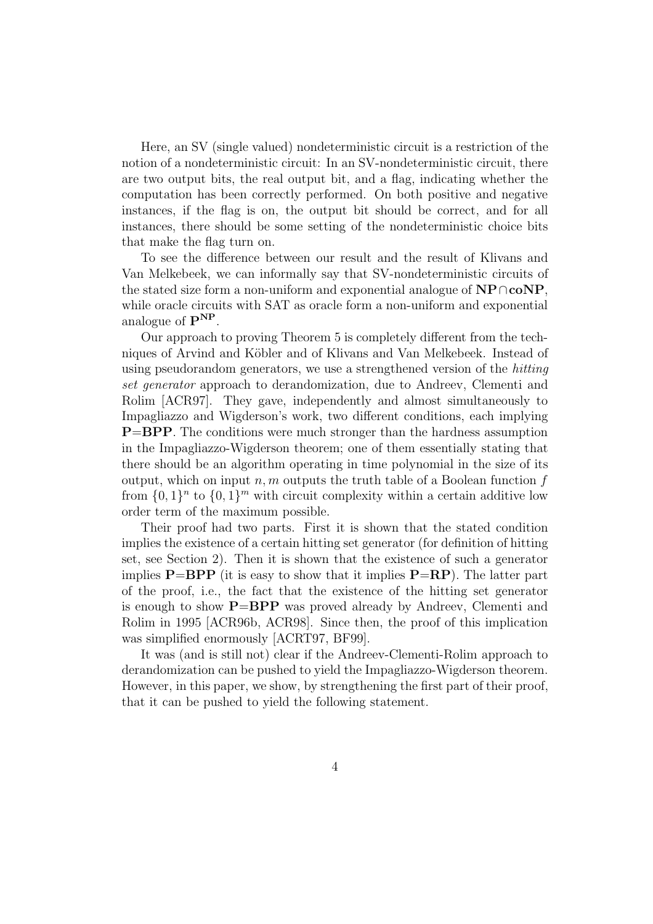Here, an SV (single valued) nondeterministic circuit is a restriction of the notion of a nondeterministic circuit: In an SV-nondeterministic circuit, there are two output bits, the real output bit, and a flag, indicating whether the computation has been correctly performed. On both positive and negative instances, if the flag is on, the output bit should be correct, and for all instances, there should be some setting of the nondeterministic choice bits that make the flag turn on.

To see the difference between our result and the result of Klivans and Van Melkebeek, we can informally say that SV-nondeterministic circuits of the stated size form a non-uniform and exponential analogue of **NP**∩**coNP**, while oracle circuits with SAT as oracle form a non-uniform and exponential analogue of **PNP**.

Our approach to proving Theorem 5 is completely different from the techniques of Arvind and Köbler and of Klivans and Van Melkebeek. Instead of using pseudorandom generators, we use a strengthened version of the hitting set generator approach to derandomization, due to Andreev, Clementi and Rolim [ACR97]. They gave, independently and almost simultaneously to Impagliazzo and Wigderson's work, two different conditions, each implying **P**=**BPP**. The conditions were much stronger than the hardness assumption in the Impagliazzo-Wigderson theorem; one of them essentially stating that there should be an algorithm operating in time polynomial in the size of its output, which on input n, m outputs the truth table of a Boolean function  $f$ from  $\{0,1\}^n$  to  $\{0,1\}^m$  with circuit complexity within a certain additive low order term of the maximum possible.

Their proof had two parts. First it is shown that the stated condition implies the existence of a certain hitting set generator (for definition of hitting set, see Section 2). Then it is shown that the existence of such a generator implies  $P=BPP$  (it is easy to show that it implies  $P=RP$ ). The latter part of the proof, i.e., the fact that the existence of the hitting set generator is enough to show **P**=**BPP** was proved already by Andreev, Clementi and Rolim in 1995 [ACR96b, ACR98]. Since then, the proof of this implication was simplified enormously [ACRT97, BF99].

It was (and is still not) clear if the Andreev-Clementi-Rolim approach to derandomization can be pushed to yield the Impagliazzo-Wigderson theorem. However, in this paper, we show, by strengthening the first part of their proof, that it can be pushed to yield the following statement.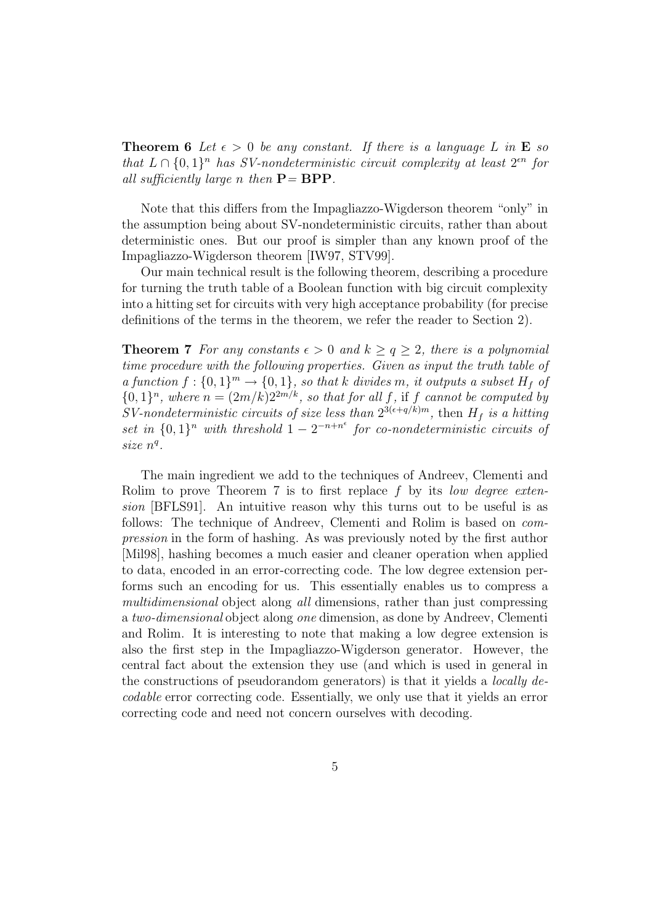**Theorem 6** Let  $\epsilon > 0$  be any constant. If there is a language L in **E** so that  $L \cap \{0,1\}^n$  has SV-nondeterministic circuit complexity at least  $2^{\epsilon n}$  for all sufficiently large n then  $P = BPP$ .

Note that this differs from the Impagliazzo-Wigderson theorem "only" in the assumption being about SV-nondeterministic circuits, rather than about deterministic ones. But our proof is simpler than any known proof of the Impagliazzo-Wigderson theorem [IW97, STV99].

Our main technical result is the following theorem, describing a procedure for turning the truth table of a Boolean function with big circuit complexity into a hitting set for circuits with very high acceptance probability (for precise definitions of the terms in the theorem, we refer the reader to Section 2).

**Theorem 7** For any constants  $\epsilon > 0$  and  $k \ge q \ge 2$ , there is a polynomial time procedure with the following properties. Given as input the truth table of a function  $f: \{0,1\}^m \to \{0,1\}$ , so that k divides m, it outputs a subset  $H_f$  of  ${0,1}<sup>n</sup>$ , where  $n = (2m/k)2<sup>2m/k</sup>$ , so that for all f, if f cannot be computed by SV-nondeterministic circuits of size less than  $2^{3(\epsilon+q/k)m}$ , then  $H_f$  is a hitting set in  $\{0,1\}^n$  with threshold  $1-2^{-n+n^{\epsilon}}$  for co-nondeterministic circuits of size  $n<sup>q</sup>$ .

The main ingredient we add to the techniques of Andreev, Clementi and Rolim to prove Theorem 7 is to first replace  $f$  by its *low degree exten*sion [BFLS91]. An intuitive reason why this turns out to be useful is as follows: The technique of Andreev, Clementi and Rolim is based on compression in the form of hashing. As was previously noted by the first author [Mil98], hashing becomes a much easier and cleaner operation when applied to data, encoded in an error-correcting code. The low degree extension performs such an encoding for us. This essentially enables us to compress a multidimensional object along all dimensions, rather than just compressing a two-dimensional object along one dimension, as done by Andreev, Clementi and Rolim. It is interesting to note that making a low degree extension is also the first step in the Impagliazzo-Wigderson generator. However, the central fact about the extension they use (and which is used in general in the constructions of pseudorandom generators) is that it yields a locally decodable error correcting code. Essentially, we only use that it yields an error correcting code and need not concern ourselves with decoding.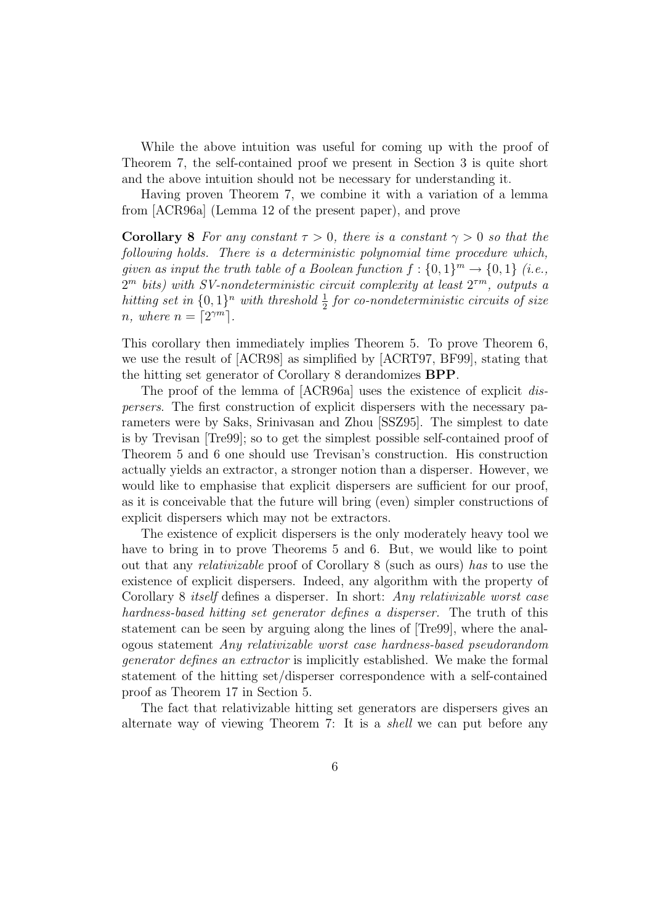While the above intuition was useful for coming up with the proof of Theorem 7, the self-contained proof we present in Section 3 is quite short and the above intuition should not be necessary for understanding it.

Having proven Theorem 7, we combine it with a variation of a lemma from [ACR96a] (Lemma 12 of the present paper), and prove

**Corollary 8** For any constant  $\tau > 0$ , there is a constant  $\gamma > 0$  so that the following holds. There is a deterministic polynomial time procedure which, given as input the truth table of a Boolean function  $f: \{0,1\}^m \to \{0,1\}$  (i.e.,  $2^m$  bits) with SV-nondeterministic circuit complexity at least  $2^{\tau m}$ , outputs a hitting set in  $\{0,1\}^n$  with threshold  $\frac{1}{2}$  for co-nondeterministic circuits of size<br>n where  $n = \lceil 2\gamma m \rceil$ n, where  $n = \lceil 2^{\gamma m} \rceil$ .

This corollary then immediately implies Theorem 5. To prove Theorem 6, we use the result of [ACR98] as simplified by [ACRT97, BF99], stating that the hitting set generator of Corollary 8 derandomizes **BPP**.

The proof of the lemma of [ACR96a] uses the existence of explicit dispersers. The first construction of explicit dispersers with the necessary parameters were by Saks, Srinivasan and Zhou [SSZ95]. The simplest to date is by Trevisan [Tre99]; so to get the simplest possible self-contained proof of Theorem 5 and 6 one should use Trevisan's construction. His construction actually yields an extractor, a stronger notion than a disperser. However, we would like to emphasise that explicit dispersers are sufficient for our proof, as it is conceivable that the future will bring (even) simpler constructions of explicit dispersers which may not be extractors.

The existence of explicit dispersers is the only moderately heavy tool we have to bring in to prove Theorems 5 and 6. But, we would like to point out that any relativizable proof of Corollary 8 (such as ours) has to use the existence of explicit dispersers. Indeed, any algorithm with the property of Corollary 8 itself defines a disperser. In short: Any relativizable worst case hardness-based hitting set generator defines a disperser. The truth of this statement can be seen by arguing along the lines of [Tre99], where the analogous statement Any relativizable worst case hardness-based pseudorandom generator defines an extractor is implicitly established. We make the formal statement of the hitting set/disperser correspondence with a self-contained proof as Theorem 17 in Section 5.

The fact that relativizable hitting set generators are dispersers gives an alternate way of viewing Theorem 7: It is a shell we can put before any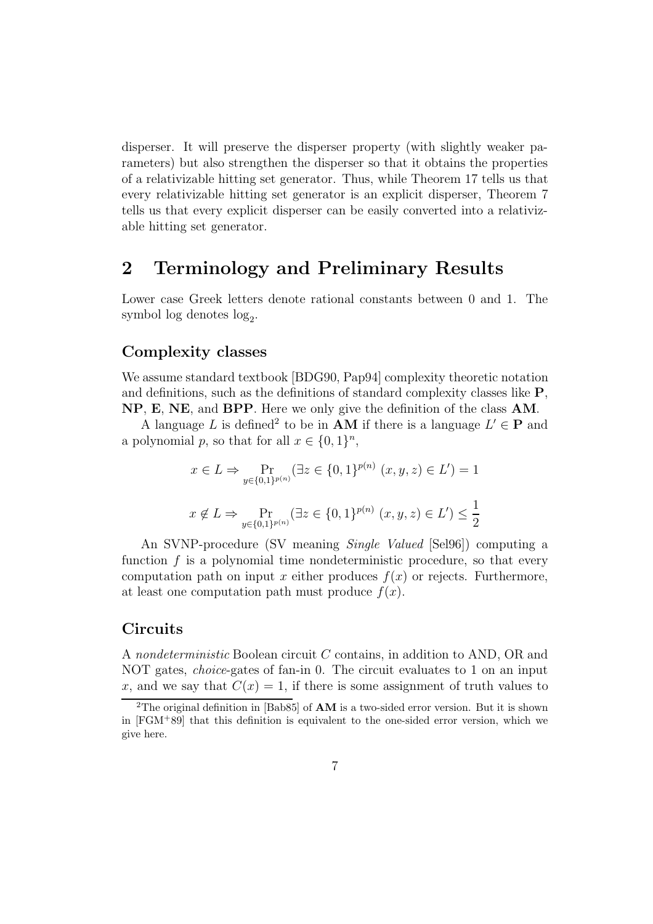disperser. It will preserve the disperser property (with slightly weaker parameters) but also strengthen the disperser so that it obtains the properties of a relativizable hitting set generator. Thus, while Theorem 17 tells us that every relativizable hitting set generator is an explicit disperser, Theorem 7 tells us that every explicit disperser can be easily converted into a relativizable hitting set generator.

### **2 Terminology and Preliminary Results**

Lower case Greek letters denote rational constants between 0 and 1. The symbol log denotes  $log_2$ .

#### **Complexity classes**

We assume standard textbook [BDG90, Pap94] complexity theoretic notation and definitions, such as the definitions of standard complexity classes like **P**, **NP**, **E**, **NE**, and **BPP**. Here we only give the definition of the class **AM**.

A language L is defined<sup>2</sup> to be in **AM** if there is a language  $L' \in \mathbf{P}$  and a polynomial p, so that for all  $x \in \{0,1\}^n$ ,

$$
x \in L \Rightarrow \Pr_{y \in \{0, 1\}^{p(n)}} (\exists z \in \{0, 1\}^{p(n)} (x, y, z) \in L') = 1
$$
  

$$
x \notin L \Rightarrow \Pr_{y \in \{0, 1\}^{p(n)}} (\exists z \in \{0, 1\}^{p(n)} (x, y, z) \in L') \le \frac{1}{2}
$$

An SVNP-procedure (SV meaning Single Valued [Sel96]) computing a function  $f$  is a polynomial time nondeterministic procedure, so that every computation path on input x either produces  $f(x)$  or rejects. Furthermore, at least one computation path must produce  $f(x)$ .

#### **Circuits**

A nondeterministic Boolean circuit C contains, in addition to AND, OR and NOT gates, choice-gates of fan-in 0. The circuit evaluates to 1 on an input x, and we say that  $C(x) = 1$ , if there is some assignment of truth values to

<sup>2</sup>The original definition in [Bab85] of **AM** is a two-sided error version. But it is shown in  $[FGM+89]$  that this definition is equivalent to the one-sided error version, which we give here.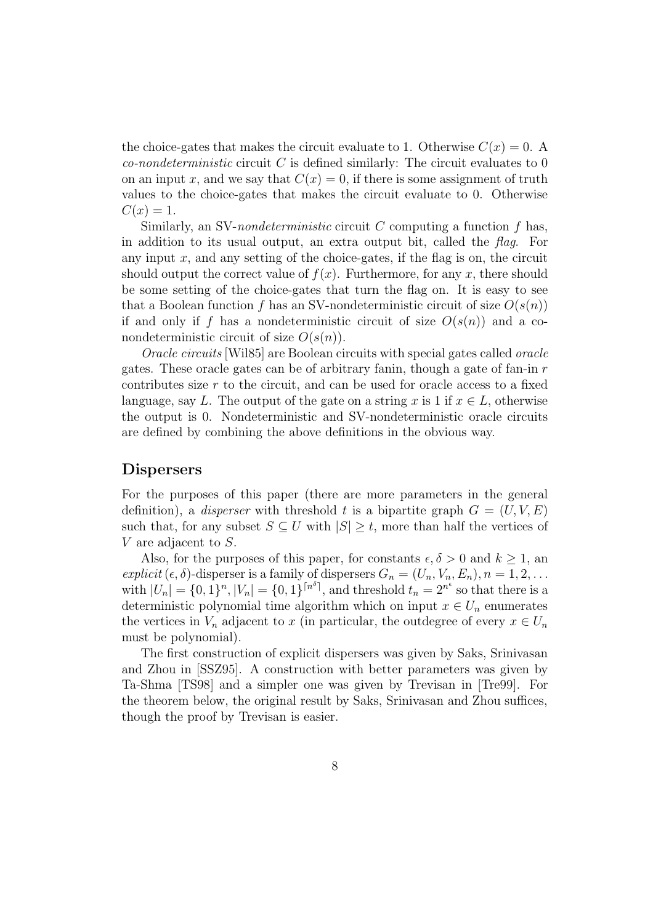the choice-gates that makes the circuit evaluate to 1. Otherwise  $C(x) = 0$ . A *co-nondeterministic* circuit C is defined similarly: The circuit evaluates to  $0$ on an input x, and we say that  $C(x) = 0$ , if there is some assignment of truth values to the choice-gates that makes the circuit evaluate to 0. Otherwise  $C(x) = 1.$ 

Similarly, an SV-nondeterministic circuit  $C$  computing a function  $f$  has, in addition to its usual output, an extra output bit, called the  $flag$ . For any input  $x$ , and any setting of the choice-gates, if the flag is on, the circuit should output the correct value of  $f(x)$ . Furthermore, for any x, there should be some setting of the choice-gates that turn the flag on. It is easy to see that a Boolean function f has an SV-nondeterministic circuit of size  $O(s(n))$ if and only if f has a nondeterministic circuit of size  $O(s(n))$  and a conondeterministic circuit of size  $O(s(n))$ .

Oracle circuits [Wil85] are Boolean circuits with special gates called oracle gates. These oracle gates can be of arbitrary fanin, though a gate of fan-in r contributes size  $r$  to the circuit, and can be used for oracle access to a fixed language, say L. The output of the gate on a string x is 1 if  $x \in L$ , otherwise the output is 0. Nondeterministic and SV-nondeterministic oracle circuits are defined by combining the above definitions in the obvious way.

#### **Dispersers**

For the purposes of this paper (there are more parameters in the general definition), a *disperser* with threshold t is a bipartite graph  $G = (U, V, E)$ such that, for any subset  $S \subseteq U$  with  $|S| \geq t$ , more than half the vertices of V are adjacent to S.

Also, for the purposes of this paper, for constants  $\epsilon, \delta > 0$  and  $k \ge 1$ , and explicit  $(\epsilon, \delta)$ -disperser is a family of dispersers  $G_n = (U_n, V_n, E_n), n = 1, 2, \ldots$ with  $|U_n| = \{0, 1\}^n, |V_n| = \{0, 1\}^{\lceil n^{\delta} \rceil}$ , and threshold  $t_n = 2^{n^{\epsilon}}$  so that there is a deterministic polynomial time algorithm which on input  $x \in U_n$  enumerates the vertices in  $V_n$  adjacent to x (in particular, the outdegree of every  $x \in U_n$ must be polynomial).

The first construction of explicit dispersers was given by Saks, Srinivasan and Zhou in [SSZ95]. A construction with better parameters was given by Ta-Shma [TS98] and a simpler one was given by Trevisan in [Tre99]. For the theorem below, the original result by Saks, Srinivasan and Zhou suffices, though the proof by Trevisan is easier.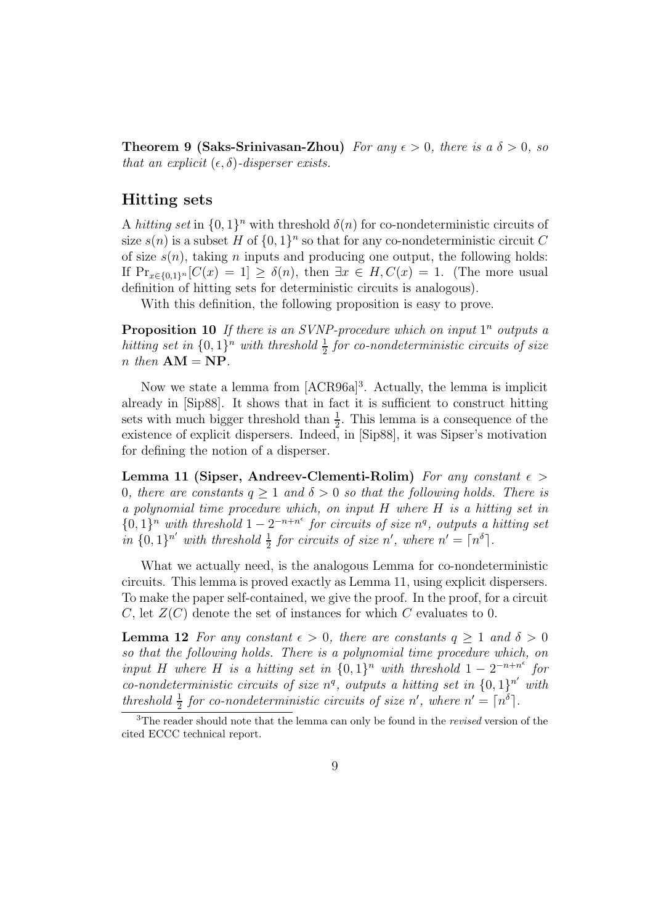**Theorem 9 (Saks-Srinivasan-Zhou)** For any  $\epsilon > 0$ , there is a  $\delta > 0$ , so that an explicit  $(\epsilon, \delta)$ -disperser exists.

#### **Hitting sets**

A hitting set in  $\{0,1\}^n$  with threshold  $\delta(n)$  for co-nondeterministic circuits of size  $s(n)$  is a subset H of  $\{0, 1\}^n$  so that for any co-nondeterministic circuit C of size  $s(n)$ , taking n inputs and producing one output, the following holds: If  $Pr_{x \in \{0,1\}^n}[C(x) = 1] \ge \delta(n)$ , then  $\exists x \in H, C(x) = 1$ . (The more usual definition of hitting sets for deterministic circuits is analogous).

With this definition, the following proposition is easy to prove.

**Proposition 10** If there is an SVNP-procedure which on input  $1^n$  outputs a hitting set in  $\{0,1\}^n$  with threshold  $\frac{1}{2}$  for co-nondeterministic circuits of size<br>n then  $\mathbf{A}\mathbf{M} - \mathbf{N}\mathbf{P}$  $n$  then  $AM = NP$ .

Now we state a lemma from [ACR96a]<sup>3</sup>. Actually, the lemma is implicit already in [Sip88]. It shows that in fact it is sufficient to construct hitting sets with much bigger threshold than  $\frac{1}{2}$ . This lemma is a consequence of the existence of explicit dispersers. Indeed, in [Sin88], it was Sinser's motivation existence of explicit dispersers. Indeed, in [Sip88], it was Sipser's motivation for defining the notion of a disperser.

**Lemma 11 (Sipser, Andreev-Clementi-Rolim)** For any constant  $\epsilon$ 0, there are constants  $q \ge 1$  and  $\delta > 0$  so that the following holds. There is a polynomial time procedure which, on input H where H is a hitting set in  ${0,1}^n$  with threshold  $1 - 2^{-n+n^{\epsilon}}$  for circuits of size  $n^q$ , outputs a hitting set in  $\{0,1\}^{n'}$  with threshold  $\frac{1}{2}$  for circuits of size n', where  $n' = \lceil n^{\delta} \rceil$ .

What we actually need, is the analogous Lemma for co-nondeterministic circuits. This lemma is proved exactly as Lemma 11, using explicit dispersers. To make the paper self-contained, we give the proof. In the proof, for a circuit C, let  $Z(C)$  denote the set of instances for which C evaluates to 0.

**Lemma 12** For any constant  $\epsilon > 0$ , there are constants  $q \ge 1$  and  $\delta > 0$ so that the following holds. There is a polynomial time procedure which, on input H where H is a hitting set in  $\{0,1\}^n$  with threshold  $1 - 2^{-n+n^{\epsilon}}$  for co-nondeterministic circuits of size  $n^q$ , outputs a hitting set in  $\{0,1\}^{n'}$  with threshold  $\frac{1}{2}$  for co-nondeterministic circuits of size n', where  $n' = \lceil n^{\delta} \rceil$ .

<sup>3</sup>The reader should note that the lemma can only be found in the *revised* version of the cited ECCC technical report.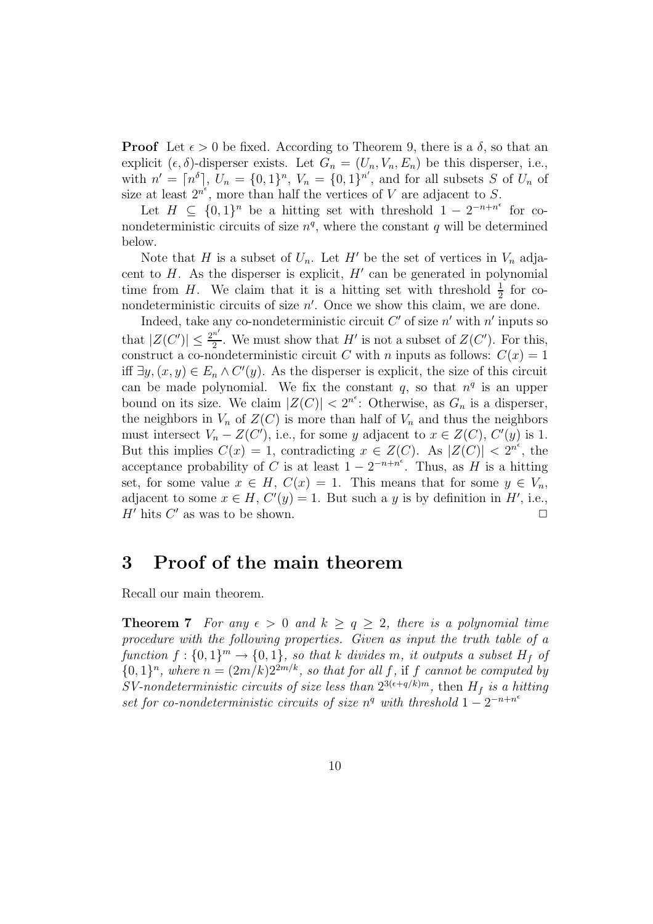**Proof** Let  $\epsilon > 0$  be fixed. According to Theorem 9, there is a  $\delta$ , so that an explicit  $(\epsilon, \delta)$ -disperser exists. Let  $G_n = (U_n, V_n, E_n)$  be this disperser, i.e., with  $n' = [n^{\delta}], U_n = \{0, 1\}^n, V_n = \{0, 1\}^{n'}$ , and for all subsets S of  $U_n$  of size at least  $2^{n^{\epsilon}}$ , more than half the vertices of V are adjacent to S.

Let  $H \subseteq \{0,1\}^n$  be a hitting set with threshold  $1 - 2^{-n+n^{\epsilon}}$  for conondeterministic circuits of size  $n<sup>q</sup>$ , where the constant q will be determined below.

Note that H is a subset of  $U_n$ . Let H' be the set of vertices in  $V_n$  adjacent to  $H$ . As the disperser is explicit,  $H'$  can be generated in polynomial time from H. We claim that it is a hitting set with threshold  $\frac{1}{2}$  for co-<br>nondeterministic circuits of size  $n'$ . Once we show this claim, we are done nondeterministic circuits of size  $n'$ . Once we show this claim, we are done.

Indeed, take any co-nondeterministic circuit  $C'$  of size  $n'$  with n' inputs so that  $|Z(C')| \leq \frac{2^{n'}}{2}$ . We must show that H' is not a subset of  $Z(C')$ . For this, construct a co-nondeterministic circuit C with n inputs as follows:  $C(x) = 1$ . construct a co-nondeterministic circuit C with n inputs as follows:  $C(x)=1$ iff  $\exists y, (x, y) \in E_n \wedge C'(y)$ . As the disperser is explicit, the size of this circuit can be made polynomial. We fix the constant q, so that  $n<sup>q</sup>$  is an upper bound on its size. We claim  $|Z(C)| < 2^{n^{\epsilon}}$ : Otherwise, as  $G_n$  is a disperser, the neighbors in  $V_n$  of  $Z(C)$  is more than half of  $V_n$  and thus the neighbors must intersect  $V_n - Z(C')$ , i.e., for some y adjacent to  $x \in Z(C)$ ,  $C'(y)$  is 1. But this implies  $C(x) = 1$ , contradicting  $x \in Z(C)$ . As  $|Z(C)| < 2^{n^{\epsilon}}$ , the acceptance probability of C is at least  $1 - 2^{-n+n^{\epsilon}}$ . Thus, as H is a hitting set, for some value  $x \in H$ ,  $C(x) = 1$ . This means that for some  $y \in V_n$ , adjacent to some  $x \in H$ ,  $C'(y) = 1$ . But such a y is by definition in H', i.e., H' hits  $C'$  as was to be shown.  $\square$ 

### **3 Proof of the main theorem**

Recall our main theorem.

**Theorem 7** For any  $\epsilon > 0$  and  $k \ge q \ge 2$ , there is a polynomial time procedure with the following properties. Given as input the truth table of a function  $f: \{0,1\}^m \to \{0,1\}$ , so that k divides m, it outputs a subset  $H_f$  of  ${0,1}<sup>n</sup>$ , where  $n = (2m/k)2<sup>2m/k</sup>$ , so that for all f, if f cannot be computed by SV-nondeterministic circuits of size less than  $2^{3(\epsilon+q/k)m}$ , then  $H_f$  is a hitting set for co-nondeterministic circuits of size  $n<sup>q</sup>$  with threshold  $1 - 2<sup>-n+n<sup>ε</sup></sup>$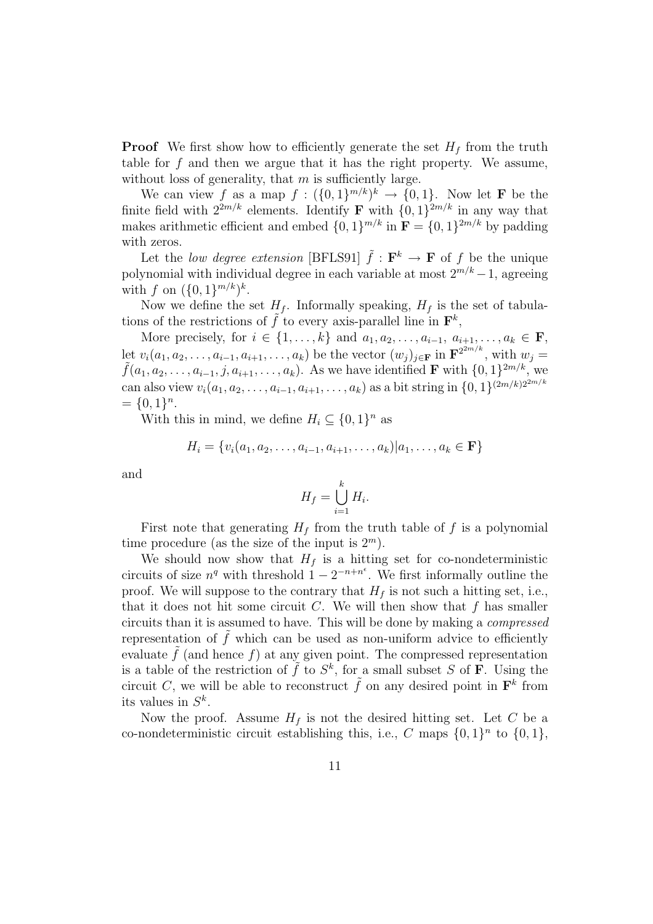**Proof** We first show how to efficiently generate the set  $H_f$  from the truth table for  $f$  and then we argue that it has the right property. We assume, without loss of generality, that  $m$  is sufficiently large.

We can view f as a map  $f : (\{0,1\}^{m/k})^k \rightarrow \{0,1\}$ . Now let **F** be the finite field with  $2^{2m/k}$  elements. Identify **F** with  $\{0, 1\}^{2m/k}$  in any way that makes arithmetic efficient and embed  $\{0, 1\}^{m/k}$  in  $\mathbf{F} = \{0, 1\}^{2m/k}$  by padding with zeros.

Let the low degree extension [BFLS91]  $\tilde{f}$  :  $\mathbf{F}^k \to \mathbf{F}$  of f be the unique polynomial with individual degree in each variable at most  $2^{m/k} - 1$ , agreeing with f on  $({0, 1}^{m/k})^k$ .

Now we define the set  $H_f$ . Informally speaking,  $H_f$  is the set of tabulations of the restrictions of f to every axis-parallel line in  $\mathbf{F}^k$ ,

More precisely, for  $i \in \{1,\ldots,k\}$  and  $a_1, a_2, \ldots, a_{i-1}, a_{i+1}, \ldots, a_k \in \mathbf{F}$ , let  $v_i(a_1, a_2, \ldots, a_{i-1}, a_{i+1}, \ldots, a_k)$  be the vector  $(w_j)_{j \in \mathbf{F}}$  in  $\mathbf{F}^{2^{2m/k}}$ , with  $w_j = \tilde{f}(a_1, a_2, \ldots, a_{i-1}, j, a_{i+1}, \ldots, a_k)$ . As we have identified **F** with  $\{0, 1\}^{2m/k}$ , we can also view  $v_i(a_1, a_2,..., a_{i-1}, a_{i+1},...,a_k)$  as a bit string in  $\{0, 1\}^{(2m/k)2^{2m/k}}$  $= \{0, 1\}^n$ .

With this in mind, we define  $H_i \subseteq \{0,1\}^n$  as

$$
H_i = \{v_i(a_1, a_2, \dots, a_{i-1}, a_{i+1}, \dots, a_k)|a_1, \dots, a_k \in \mathbf{F}\}\
$$

and

$$
H_f = \bigcup_{i=1}^k H_i.
$$

First note that generating  $H_f$  from the truth table of f is a polynomial time procedure (as the size of the input is  $2^m$ ).

We should now show that  $H_f$  is a hitting set for co-nondeterministic circuits of size  $n^q$  with threshold  $1 - 2^{-n+n^{\epsilon}}$ . We first informally outline the proof. We will suppose to the contrary that  $H_f$  is not such a hitting set, i.e., that it does not hit some circuit C. We will then show that  $f$  has smaller circuits than it is assumed to have. This will be done by making a compressed representation of  $\tilde{f}$  which can be used as non-uniform advice to efficiently evaluate  $\tilde{f}$  (and hence f) at any given point. The compressed representation is a table of the restriction of  $\tilde{f}$  to  $S^k$ , for a small subset S of **F**. Using the circuit C, we will be able to reconstruct  $\tilde{f}$  on any desired point in  $\mathbf{F}^k$  from its values in  $S^k$ .

Now the proof. Assume  $H_f$  is not the desired hitting set. Let C be a co-nondeterministic circuit establishing this, i.e., C maps  $\{0,1\}^n$  to  $\{0,1\}$ ,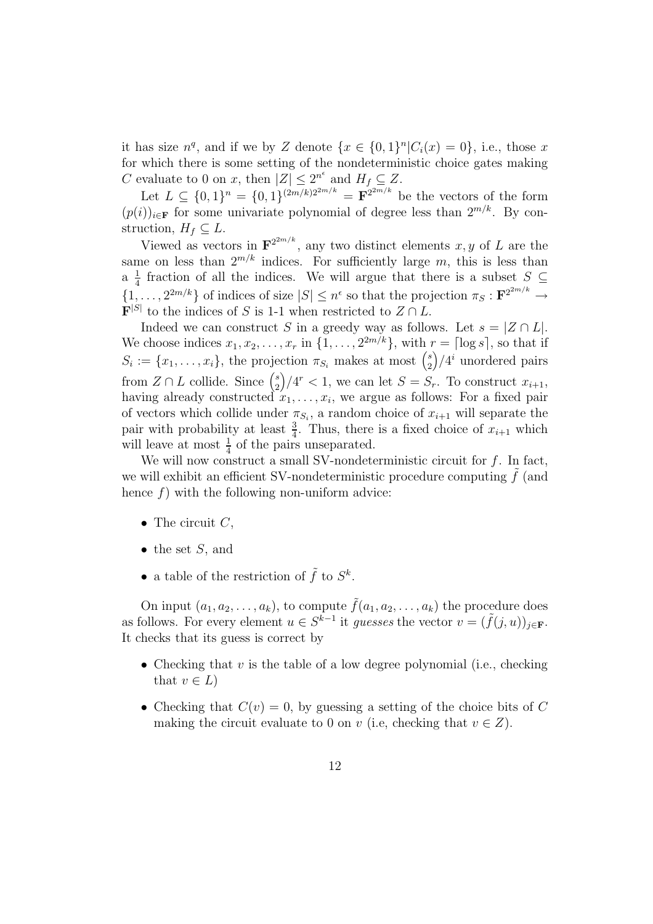it has size  $n^q$ , and if we by Z denote  $\{x \in \{0,1\}^n | C_i(x)=0\}$ , i.e., those x for which there is some setting of the nondeterministic choice gates making C evaluate to 0 on x, then  $|Z| \leq 2^{n^{\epsilon}}$  and  $H_f \subseteq Z$ .

Let  $L \subseteq \{0,1\}^n = \{0,1\}^{(2m/k)2^{2m/k}} = \mathbf{F}^{2^{2m/k}}$  be the vectors of the form  $(p(i))_{i\in \mathbf{F}}$  for some univariate polynomial of degree less than  $2^{m/k}$ . By construction,  $H_f \subseteq L$ .

Viewed as vectors in  $\mathbf{F}^{2^{2m/k}}$ , any two distinct elements x, y of L are the same on less than  $2^{m/k}$  indices. For sufficiently large m, this is less than a  $\frac{1}{4}$  fraction of all the indices. We will argue that there is a subset  $S \subseteq$  $\{1,\ldots,2^{2m/k}\}\$  of indices of size  $|S| \leq n^{\epsilon}$  so that the projection  $\pi_S : \mathbf{F}^{2^{2m/k}} \to$  $\mathbf{F}^{|\mathcal{S}|}$  to the indices of S is 1-1 when restricted to  $Z \cap L$ .

Indeed we can construct S in a greedy way as follows. Let  $s = |Z \cap L|$ . We choose indices  $x_1, x_2, \ldots, x_r$  in  $\{1, \ldots, 2^{2m/k}\}\$ , with  $r = \lceil \log s \rceil$ , so that if  $S_i := \{x_1, \ldots, x_i\}$ , the projection  $\pi_{S_i}$  makes at most  $\binom{s}{2}$  *(i)* unordered pairs from  $Z \cap L$  collide. Since  ${s \choose 2}/4^r < 1$ , we can let  $S = S_r$ . To construct  $x_{i+1}$ , having already constructed  $x_1, \ldots, x_i$ , we argue as follows: For a fixed pair of vectors which collide under  $\pi_{S_i}$ , a random choice of  $x_{i+1}$  will separate the pair with probability at least  $\frac{3}{4}$ . Thus, there is a fixed choice of  $x_{i+1}$  which<br>will leave at most  $\frac{1}{4}$  of the pairs unseparated will leave at most  $\frac{1}{4}$  of the pairs unseparated.<br>We will now construct a small SV-pondete

We will now construct a small SV-nondeterministic circuit for  $f$ . In fact, we will exhibit an efficient SV-nondeterministic procedure computing  $\hat{f}$  (and hence  $f$ ) with the following non-uniform advice:

- The circuit  $C$ ,
- $\bullet$  the set S, and
- a table of the restriction of  $\tilde{f}$  to  $S^k$ .

On input  $(a_1, a_2, \ldots, a_k)$ , to compute  $\tilde{f}(a_1, a_2, \ldots, a_k)$  the procedure does as follows. For every element  $u \in S^{k-1}$  it guesses the vector  $v = (\tilde{f}(j, u))_{i \in \mathbf{F}}$ . It checks that its guess is correct by

- Checking that  $v$  is the table of a low degree polynomial (i.e., checking that  $v \in L$
- Checking that  $C(v) = 0$ , by guessing a setting of the choice bits of C making the circuit evaluate to 0 on v (i.e, checking that  $v \in Z$ ).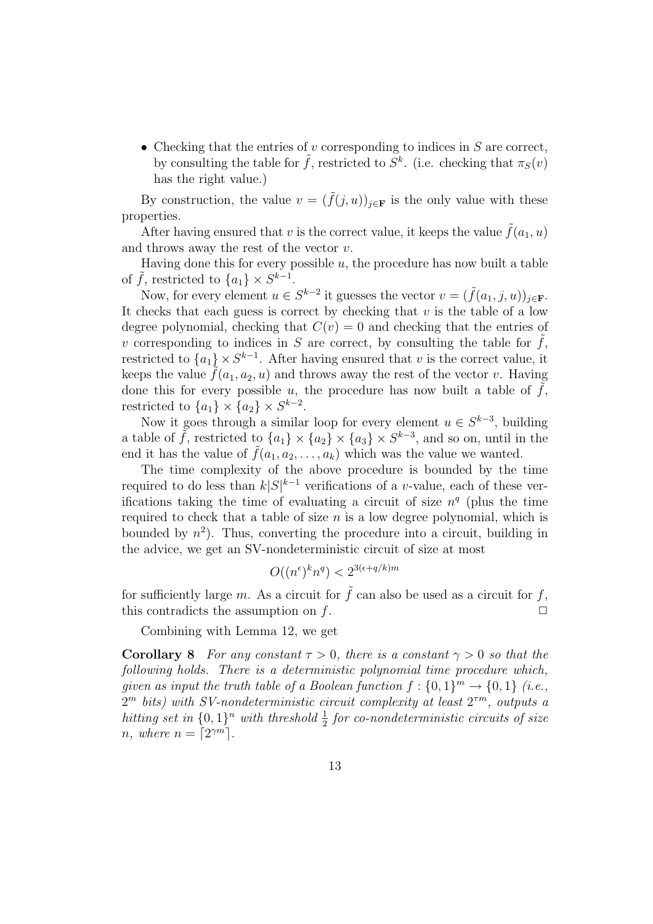• Checking that the entries of v corresponding to indices in  $S$  are correct, by consulting the table for  $\tilde{f}$ , restricted to  $S^k$ . (i.e. checking that  $\pi_S(v)$ ) has the right value.)

By construction, the value  $v = (\tilde{f}(j, u))_{j \in \mathbf{F}}$  is the only value with these properties.

After having ensured that v is the correct value, it keeps the value  $\tilde{f}(a_1, u)$ and throws away the rest of the vector  $v$ .

Having done this for every possible  $u$ , the procedure has now built a table of  $\tilde{f}$ , restricted to  $\{a_1\} \times S^{k-1}$ .

Now, for every element  $u \in S^{k-2}$  it guesses the vector  $v = (\tilde{f}(a_1, j, u))_{i \in \mathbf{F}}$ . It checks that each guess is correct by checking that  $v$  is the table of a low degree polynomial, checking that  $C(v) = 0$  and checking that the entries of v corresponding to indices in  $S$  are correct, by consulting the table for  $f$ , restricted to  $\{a_1\} \times S^{k-1}$ . After having ensured that v is the correct value, it keeps the value  $\hat{f}(a_1, a_2, u)$  and throws away the rest of the vector v. Having done this for every possible  $u$ , the procedure has now built a table of  $f$ , restricted to  ${a_1} \times {a_2} \times S^{k-2}$ .

Now it goes through a similar loop for every element  $u \in S^{k-3}$ , building a table of  $\tilde{f}$ , restricted to  $\{a_1\} \times \{a_2\} \times \{a_3\} \times S^{k-3}$ , and so on, until in the end it has the value of  $\hat{f}(a_1, a_2, \ldots, a_k)$  which was the value we wanted.

The time complexity of the above procedure is bounded by the time required to do less than  $k|S|^{k-1}$  verifications of a v-value, each of these verifications taking the time of evaluating a circuit of size  $n<sup>q</sup>$  (plus the time required to check that a table of size  $n$  is a low degree polynomial, which is bounded by  $n^2$ ). Thus, converting the procedure into a circuit, building in the advice, we get an SV-nondeterministic circuit of size at most

$$
O((n^{\epsilon})^k n^q) < 2^{3(\epsilon + q/k)m}
$$

for sufficiently large m. As a circuit for  $\tilde{f}$  can also be used as a circuit for f, this contradicts the assumption on  $f$ .  $\Box$ 

Combining with Lemma 12, we get

**Corollary 8** For any constant  $\tau > 0$ , there is a constant  $\gamma > 0$  so that the following holds. There is a deterministic polynomial time procedure which, given as input the truth table of a Boolean function  $f: \{0,1\}^m \to \{0,1\}$  (i.e.,  $2^m$  bits) with SV-nondeterministic circuit complexity at least  $2^{\tau m}$ , outputs a hitting set in  $\{0,1\}^n$  with threshold  $\frac{1}{2}$  for co-nondeterministic circuits of size<br>n where  $n = \lceil 2\gamma m \rceil$ n, where  $n = \lceil 2^{\gamma m} \rceil$ .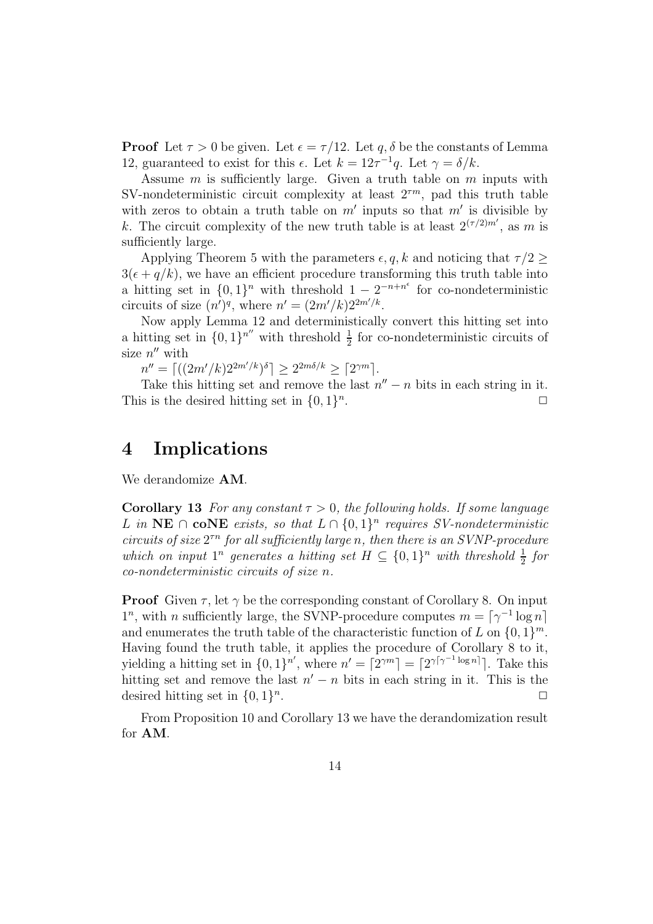**Proof** Let  $\tau > 0$  be given. Let  $\epsilon = \tau/12$ . Let q,  $\delta$  be the constants of Lemma 12, guaranteed to exist for this  $\epsilon$ . Let  $k = 12\tau^{-1}q$ . Let  $\gamma = \delta/k$ .

Assume  $m$  is sufficiently large. Given a truth table on  $m$  inputs with SV-nondeterministic circuit complexity at least  $2^{\tau m}$ , pad this truth table with zeros to obtain a truth table on  $m'$  inputs so that  $m'$  is divisible by k. The circuit complexity of the new truth table is at least  $2^{(\tau/2)m'}$ , as m is sufficiently large.

Applying Theorem 5 with the parameters  $\epsilon, q, k$  and noticing that  $\tau/2$  $3(\epsilon + q/k)$ , we have an efficient procedure transforming this truth table into a hitting set in  $\{0,1\}^n$  with threshold  $1 - 2^{-n+n^{\epsilon}}$  for co-nondeterministic circuits of size  $(n')^q$ , where  $n' = (2m'/k)2^{2m'/k}$ .

Now apply Lemma 12 and deterministically convert this hitting set into a hitting set in  $\{0,1\}^{n^{\prime\prime}}$  with threshold  $\frac{1}{2}$  for co-nondeterministic circuits of size  $n^{\prime\prime}$  with size  $n''$  with

 $n'' = \left[ (2m'/k)2^{2m'/k} \right]^{\delta} \geq 2^{2m\delta/k} \geq \left[ 2^{\gamma m} \right].$ 

Take this hitting set and remove the last  $n'' - n$  bits in each string in it. This is the desired hitting set in  $\{0,1\}^n$ .

### **4 Implications**

We derandomize **AM**.

**Corollary 13** For any constant  $\tau > 0$ , the following holds. If some language L in **NE** ∩ **coNE** exists, so that  $L ∩ \{0, 1\}$ <sup>n</sup> requires SV-nondeterministic circuits of size  $2^{tn}$  for all sufficiently large n, then there is an SVNP-procedure which on input  $1^n$  generates a hitting set  $H \subseteq \{0,1\}^n$  with threshold  $\frac{1}{2}$  for co-nondeterministic circuits of size n co-nondeterministic circuits of size n.

**Proof** Given  $\tau$ , let  $\gamma$  be the corresponding constant of Corollary 8. On input  $1^n$ , with n sufficiently large, the SVNP-procedure computes  $m = \lceil \gamma^{-1} \log n \rceil$ and enumerates the truth table of the characteristic function of L on  $\{0, 1\}^m$ . Having found the truth table, it applies the procedure of Corollary 8 to it, yielding a hitting set in  $\{0, 1\}^{n'}$ , where  $n' = \lceil 2^{\gamma m} \rceil = \lceil 2^{\gamma \lceil \gamma^{-1} \log n \rceil} \rceil$ . Take this hitting set and remove the last  $n' - n$  bits in each string in it. This is the desired hitting set in  $\{0,1\}^n$ .

From Proposition 10 and Corollary 13 we have the derandomization result for **AM**.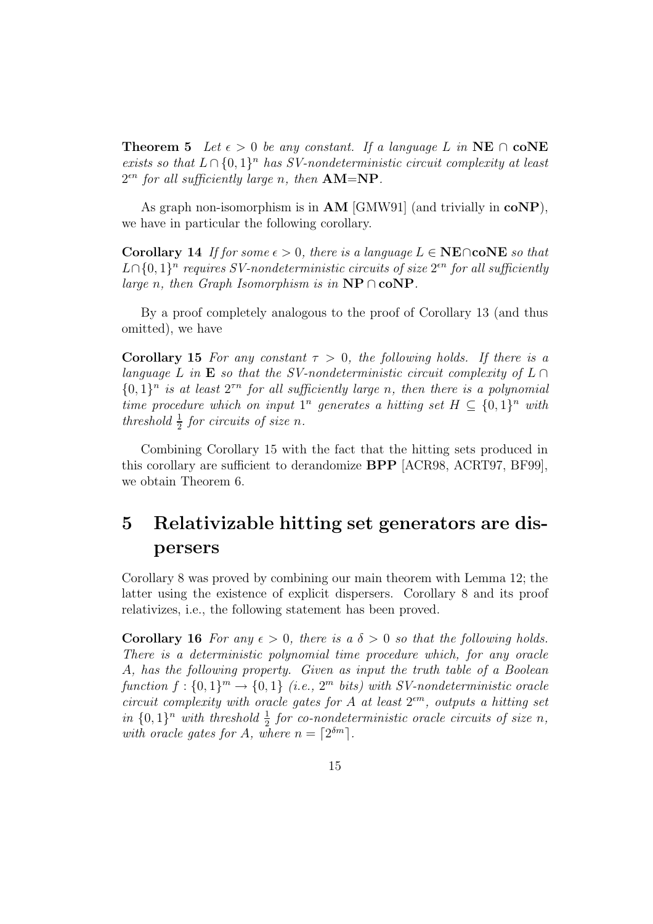**Theorem 5** Let  $\epsilon > 0$  be any constant. If a language L in **NE**  $\cap$  **coNE** exists so that  $L \cap \{0,1\}^n$  has SV-nondeterministic circuit complexity at least  $2^{\epsilon n}$  for all sufficiently large n, then  $AM=NP$ .

As graph non-isomorphism is in **AM** [GMW91] (and trivially in **coNP**), we have in particular the following corollary.

**Corollary 14** If for some  $\epsilon > 0$ , there is a language  $L \in \mathbf{NE} \cap \mathbf{coNE}$  so that  $L\cap\{0,1\}^n$  requires SV-nondeterministic circuits of size  $2^{\epsilon n}$  for all sufficiently large n, then Graph Isomorphism is in **NP** ∩ **coNP**.

By a proof completely analogous to the proof of Corollary 13 (and thus omitted), we have

**Corollary 15** For any constant  $\tau > 0$ , the following holds. If there is a language L in **E** so that the SV-nondeterministic circuit complexity of  $L \cap$  ${0,1}<sup>n</sup>$  is at least  $2<sup>rn</sup>$  for all sufficiently large n, then there is a polynomial time procedure which on input  $1^n$  generates a hitting set  $H \subseteq \{0,1\}^n$  with threshold  $\frac{1}{2}$  for circuits of size n.

Combining Corollary 15 with the fact that the hitting sets produced in this corollary are sufficient to derandomize **BPP** [ACR98, ACRT97, BF99], we obtain Theorem 6.

## **5 Relativizable hitting set generators are dispersers**

Corollary 8 was proved by combining our main theorem with Lemma 12; the latter using the existence of explicit dispersers. Corollary 8 and its proof relativizes, i.e., the following statement has been proved.

**Corollary 16** For any  $\epsilon > 0$ , there is a  $\delta > 0$  so that the following holds. There is a deterministic polynomial time procedure which, for any oracle A, has the following property. Given as input the truth table of a Boolean function  $f: \{0,1\}^m \to \{0,1\}$  (i.e.,  $2^m$  bits) with SV-nondeterministic oracle circuit complexity with oracle gates for A at least  $2<sup>em</sup>$ , outputs a hitting set in  $\{0,1\}^n$  with threshold  $\frac{1}{2}$  for co-nondeterministic oracle circuits of size n,<br>with oracle gates for A where  $n - \lceil 2^{\delta m} \rceil$ with oracle gates for A, where  $n = \lceil 2^{\delta m} \rceil$ .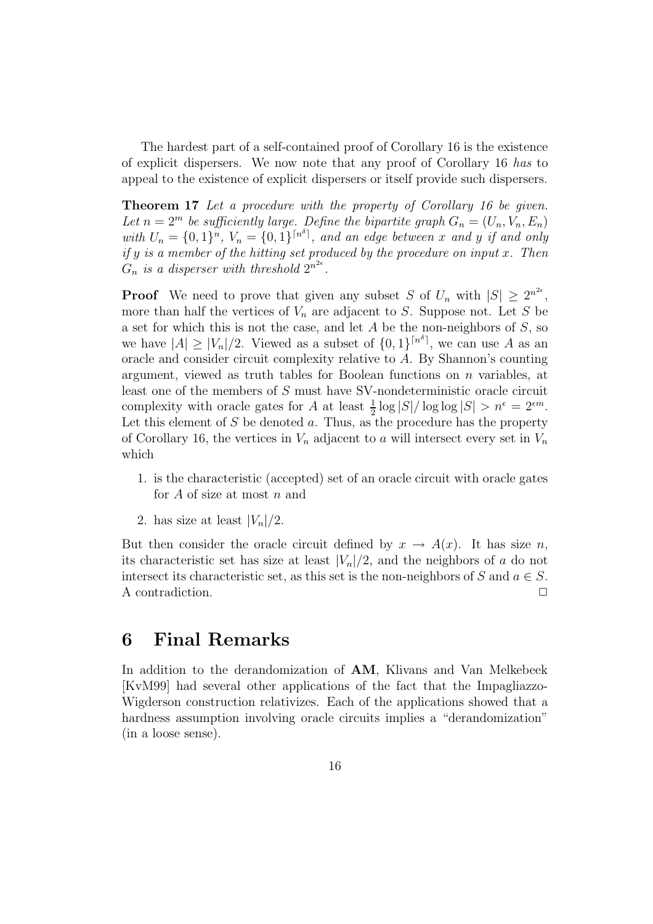The hardest part of a self-contained proof of Corollary 16 is the existence of explicit dispersers. We now note that any proof of Corollary 16 has to appeal to the existence of explicit dispersers or itself provide such dispersers.

**Theorem 17** Let a procedure with the property of Corollary 16 be given. Let  $n = 2^m$  be sufficiently large. Define the bipartite graph  $G_n = (U_n, V_n, E_n)$ with  $U_n = \{0,1\}^n$ ,  $V_n = \{0,1\}^{\lceil n^{\delta} \rceil}$ , and an edge between x and y if and only if y is a member of the hitting set produced by the procedure on input x. Then  $G_n$  is a disperser with threshold  $2^{n^{2\epsilon}}$ .

**Proof** We need to prove that given any subset S of  $U_n$  with  $|S| \geq 2^{n^{2\epsilon}}$ , more than half the vertices of  $V_n$  are adjacent to S. Suppose not. Let S be a set for which this is not the case, and let  $A$  be the non-neighbors of  $S$ , so we have  $|A| \geq |V_n|/2$ . Viewed as a subset of  $\{0,1\}^{\lceil n^{\delta} \rceil}$ , we can use A as an oracle and consider circuit complexity relative to A. By Shannon's counting argument, viewed as truth tables for Boolean functions on  $n$  variables, at least one of the members of S must have SV-nondeterministic oracle circuit complexity with oracle gates for A at least  $\frac{1}{2} \log |S| / \log \log |S| > n^{\epsilon} = 2^{\epsilon m}$ .<br>Let this element of S be denoted a. Thus, as the procedure has the property Let this element of  $S$  be denoted  $a$ . Thus, as the procedure has the property of Corollary 16, the vertices in  $V_n$  adjacent to a will intersect every set in  $V_n$ which

- 1. is the characteristic (accepted) set of an oracle circuit with oracle gates for  $A$  of size at most  $n$  and
- 2. has size at least  $|V_n|/2$ .

But then consider the oracle circuit defined by  $x \to A(x)$ . It has size n, its characteristic set has size at least  $|V_n|/2$ , and the neighbors of a do not intersect its characteristic set, as this set is the non-neighbors of S and  $a \in S$ . A contradiction.  $\Box$ 

### **6 Final Remarks**

In addition to the derandomization of **AM**, Klivans and Van Melkebeek [KvM99] had several other applications of the fact that the Impagliazzo-Wigderson construction relativizes. Each of the applications showed that a hardness assumption involving oracle circuits implies a "derandomization" (in a loose sense).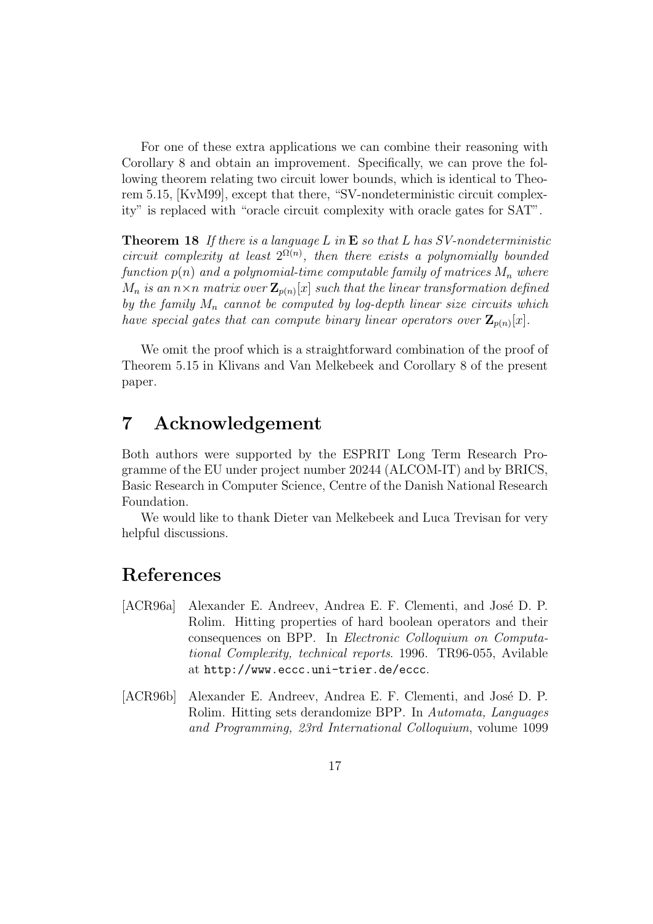For one of these extra applications we can combine their reasoning with Corollary 8 and obtain an improvement. Specifically, we can prove the following theorem relating two circuit lower bounds, which is identical to Theorem 5.15, [KvM99], except that there, "SV-nondeterministic circuit complexity" is replaced with "oracle circuit complexity with oracle gates for SAT".

**Theorem 18** If there is a language L in **E** so that L has SV-nondeterministic circuit complexity at least  $2^{\Omega(n)}$ , then there exists a polynomially bounded function  $p(n)$  and a polynomial-time computable family of matrices  $M_n$  where  $M_n$  is an  $n \times n$  matrix over  $\mathbf{Z}_{p(n)}[x]$  such that the linear transformation defined by the family  $M_n$  cannot be computed by log-depth linear size circuits which have special gates that can compute binary linear operators over  $\mathbf{Z}_{p(n)}[x]$ .

We omit the proof which is a straightforward combination of the proof of Theorem 5.15 in Klivans and Van Melkebeek and Corollary 8 of the present paper.

### **7 Acknowledgement**

Both authors were supported by the ESPRIT Long Term Research Programme of the EU under project number 20244 (ALCOM-IT) and by BRICS, Basic Research in Computer Science, Centre of the Danish National Research Foundation.

We would like to thank Dieter van Melkebeek and Luca Trevisan for very helpful discussions.

### **References**

- [ACR96a] Alexander E. Andreev, Andrea E. F. Clementi, and José D. P. Rolim. Hitting properties of hard boolean operators and their consequences on BPP. In Electronic Colloquium on Computational Complexity, technical reports. 1996. TR96-055, Avilable at http://www.eccc.uni-trier.de/eccc.
- [ACR96b] Alexander E. Andreev, Andrea E. F. Clementi, and José D. P. Rolim. Hitting sets derandomize BPP. In Automata, Languages and Programming, 23rd International Colloquium, volume 1099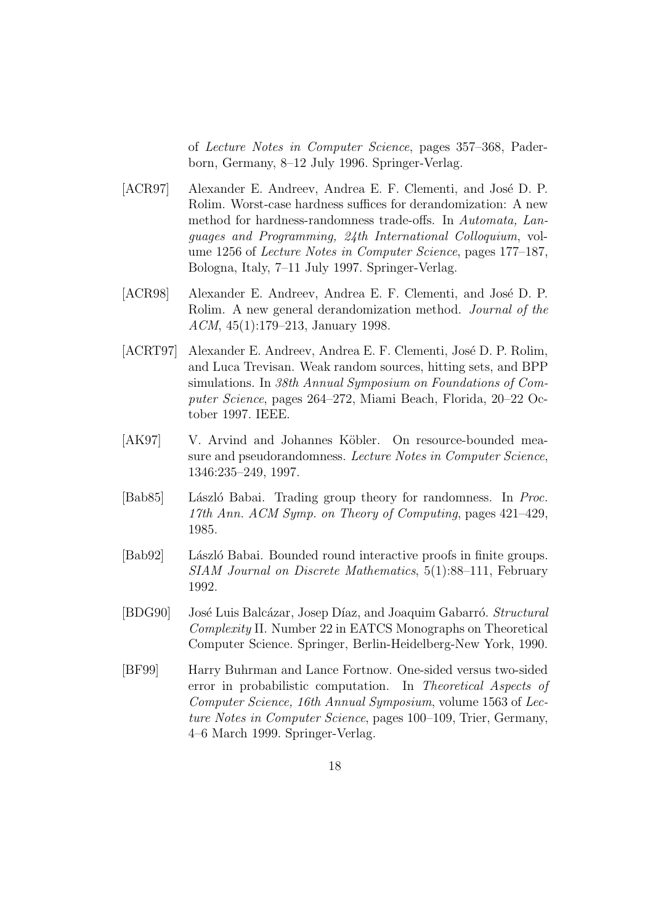of Lecture Notes in Computer Science, pages 357–368, Paderborn, Germany, 8–12 July 1996. Springer-Verlag.

- [ACR97] Alexander E. Andreev, Andrea E. F. Clementi, and José D. P. Rolim. Worst-case hardness suffices for derandomization: A new method for hardness-randomness trade-offs. In Automata, Languages and Programming, 24th International Colloquium, volume 1256 of Lecture Notes in Computer Science, pages 177–187, Bologna, Italy, 7–11 July 1997. Springer-Verlag.
- [ACR98] Alexander E. Andreev, Andrea E. F. Clementi, and José D. P. Rolim. A new general derandomization method. Journal of the ACM, 45(1):179–213, January 1998.
- [ACRT97] Alexander E. Andreev, Andrea E. F. Clementi, José D. P. Rolim, and Luca Trevisan. Weak random sources, hitting sets, and BPP simulations. In 38th Annual Symposium on Foundations of Computer Science, pages 264–272, Miami Beach, Florida, 20–22 October 1997. IEEE.
- [AK97] V. Arvind and Johannes Köbler. On resource-bounded measure and pseudorandomness. Lecture Notes in Computer Science, 1346:235–249, 1997.
- [Bab85] László Babai. Trading group theory for randomness. In Proc. 17th Ann. ACM Symp. on Theory of Computing, pages 421–429, 1985.
- [Bab92] László Babai. Bounded round interactive proofs in finite groups. SIAM Journal on Discrete Mathematics, 5(1):88–111, February 1992.
- [BDG90] José Luis Balcázar, Josep Díaz, and Joaquim Gabarró. Structural Complexity II. Number 22 in EATCS Monographs on Theoretical Computer Science. Springer, Berlin-Heidelberg-New York, 1990.
- [BF99] Harry Buhrman and Lance Fortnow. One-sided versus two-sided error in probabilistic computation. In Theoretical Aspects of Computer Science, 16th Annual Symposium, volume 1563 of Lecture Notes in Computer Science, pages 100–109, Trier, Germany, 4–6 March 1999. Springer-Verlag.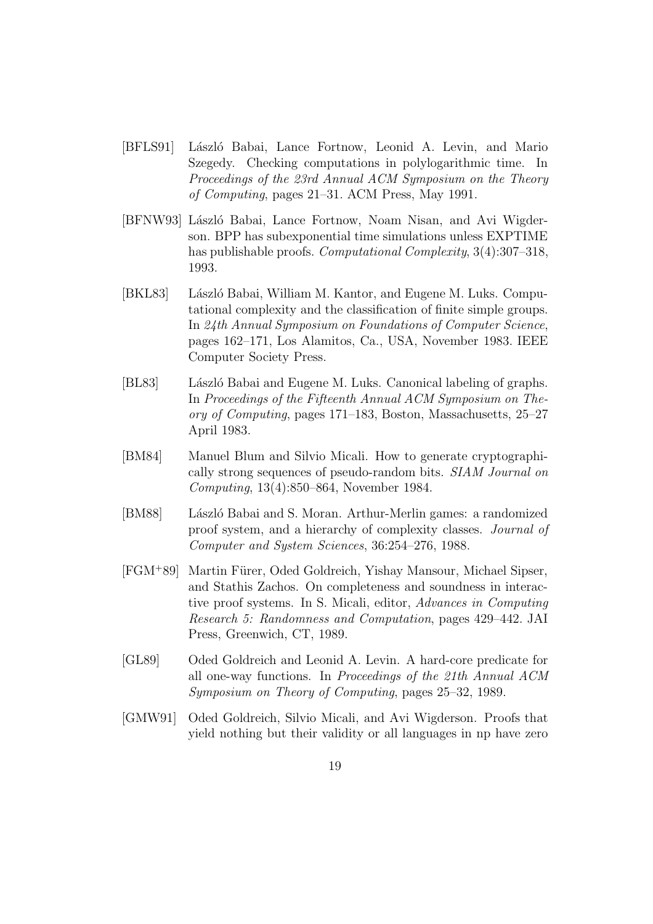- [BFLS91] László Babai, Lance Fortnow, Leonid A. Levin, and Mario Szegedy. Checking computations in polylogarithmic time. In Proceedings of the 23rd Annual ACM Symposium on the Theory of Computing, pages 21–31. ACM Press, May 1991.
- [BFNW93] László Babai, Lance Fortnow, Noam Nisan, and Avi Wigderson. BPP has subexponential time simulations unless EXPTIME has publishable proofs. *Computational Complexity*, 3(4):307–318, 1993.
- [BKL83] László Babai, William M. Kantor, and Eugene M. Luks. Computational complexity and the classification of finite simple groups. In 24th Annual Symposium on Foundations of Computer Science, pages 162–171, Los Alamitos, Ca., USA, November 1983. IEEE Computer Society Press.
- [BL83] László Babai and Eugene M. Luks. Canonical labeling of graphs. In Proceedings of the Fifteenth Annual ACM Symposium on Theory of Computing, pages 171–183, Boston, Massachusetts, 25–27 April 1983.
- [BM84] Manuel Blum and Silvio Micali. How to generate cryptographically strong sequences of pseudo-random bits. SIAM Journal on Computing, 13(4):850–864, November 1984.
- [BM88] László Babai and S. Moran. Arthur-Merlin games: a randomized proof system, and a hierarchy of complexity classes. Journal of Computer and System Sciences, 36:254–276, 1988.
- [FGM+89] Martin Fürer, Oded Goldreich, Yishay Mansour, Michael Sipser, and Stathis Zachos. On completeness and soundness in interactive proof systems. In S. Micali, editor, Advances in Computing Research 5: Randomness and Computation, pages 429–442. JAI Press, Greenwich, CT, 1989.
- [GL89] Oded Goldreich and Leonid A. Levin. A hard-core predicate for all one-way functions. In Proceedings of the 21th Annual ACM Symposium on Theory of Computing, pages 25–32, 1989.
- [GMW91] Oded Goldreich, Silvio Micali, and Avi Wigderson. Proofs that yield nothing but their validity or all languages in np have zero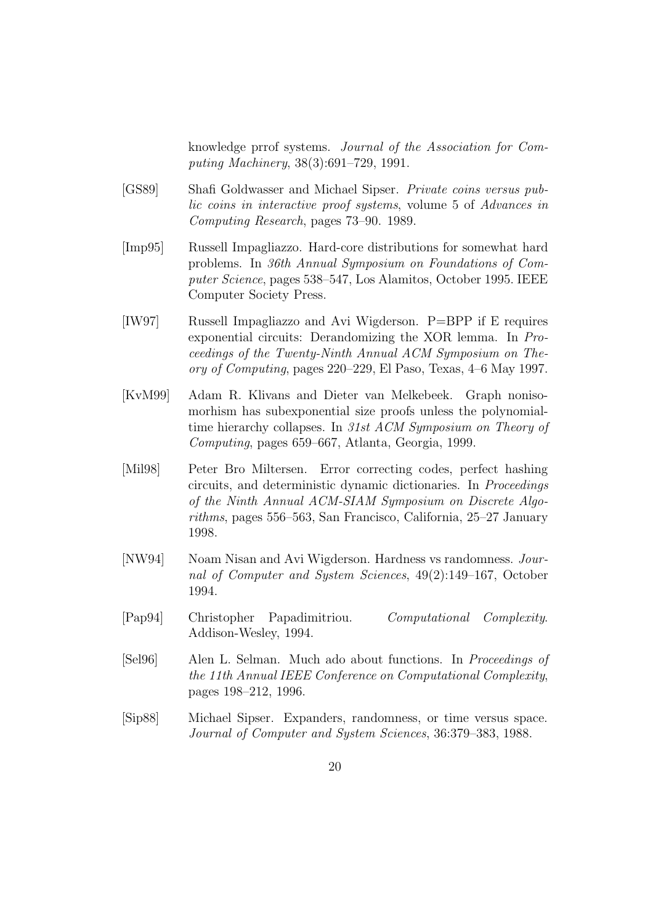knowledge prrof systems. Journal of the Association for Computing Machinery, 38(3):691–729, 1991.

- [GS89] Shafi Goldwasser and Michael Sipser. Private coins versus public coins in interactive proof systems, volume 5 of Advances in Computing Research, pages 73–90. 1989.
- [Imp95] Russell Impagliazzo. Hard-core distributions for somewhat hard problems. In 36th Annual Symposium on Foundations of Computer Science, pages 538–547, Los Alamitos, October 1995. IEEE Computer Society Press.
- [IW97] Russell Impagliazzo and Avi Wigderson. P=BPP if E requires exponential circuits: Derandomizing the XOR lemma. In Proceedings of the Twenty-Ninth Annual ACM Symposium on Theory of Computing, pages 220–229, El Paso, Texas, 4–6 May 1997.
- [KvM99] Adam R. Klivans and Dieter van Melkebeek. Graph nonisomorhism has subexponential size proofs unless the polynomialtime hierarchy collapses. In 31st ACM Symposium on Theory of Computing, pages 659–667, Atlanta, Georgia, 1999.
- [Mil98] Peter Bro Miltersen. Error correcting codes, perfect hashing circuits, and deterministic dynamic dictionaries. In Proceedings of the Ninth Annual ACM-SIAM Symposium on Discrete Algorithms, pages 556–563, San Francisco, California, 25–27 January 1998.
- [NW94] Noam Nisan and Avi Wigderson. Hardness vs randomness. Journal of Computer and System Sciences, 49(2):149–167, October 1994.
- [Pap94] Christopher Papadimitriou. Computational Complexity. Addison-Wesley, 1994.
- [Sel96] Alen L. Selman. Much ado about functions. In Proceedings of the 11th Annual IEEE Conference on Computational Complexity, pages 198–212, 1996.
- [Sip88] Michael Sipser. Expanders, randomness, or time versus space. Journal of Computer and System Sciences, 36:379–383, 1988.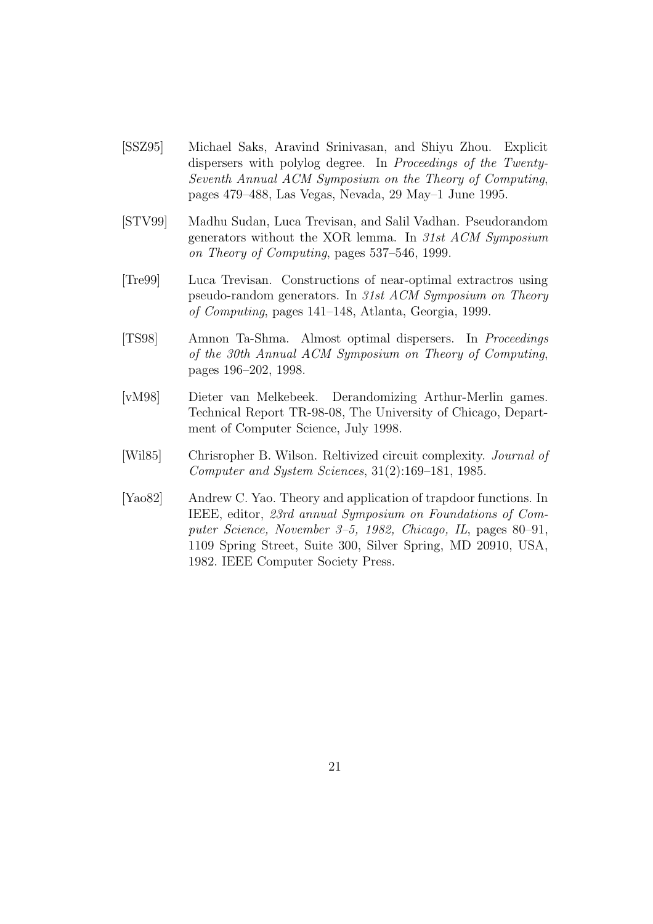- [SSZ95] Michael Saks, Aravind Srinivasan, and Shiyu Zhou. Explicit dispersers with polylog degree. In Proceedings of the Twenty-Seventh Annual ACM Symposium on the Theory of Computing, pages 479–488, Las Vegas, Nevada, 29 May–1 June 1995.
- [STV99] Madhu Sudan, Luca Trevisan, and Salil Vadhan. Pseudorandom generators without the XOR lemma. In 31st ACM Symposium on Theory of Computing, pages 537–546, 1999.
- [Tre99] Luca Trevisan. Constructions of near-optimal extractros using pseudo-random generators. In 31st ACM Symposium on Theory of Computing, pages 141–148, Atlanta, Georgia, 1999.
- [TS98] Amnon Ta-Shma. Almost optimal dispersers. In Proceedings of the 30th Annual ACM Symposium on Theory of Computing, pages 196–202, 1998.
- [vM98] Dieter van Melkebeek. Derandomizing Arthur-Merlin games. Technical Report TR-98-08, The University of Chicago, Department of Computer Science, July 1998.
- [Wil85] Chrisropher B. Wilson. Reltivized circuit complexity. Journal of Computer and System Sciences, 31(2):169–181, 1985.
- [Yao82] Andrew C. Yao. Theory and application of trapdoor functions. In IEEE, editor, 23rd annual Symposium on Foundations of Computer Science, November 3–5, 1982, Chicago, IL, pages 80–91, 1109 Spring Street, Suite 300, Silver Spring, MD 20910, USA, 1982. IEEE Computer Society Press.